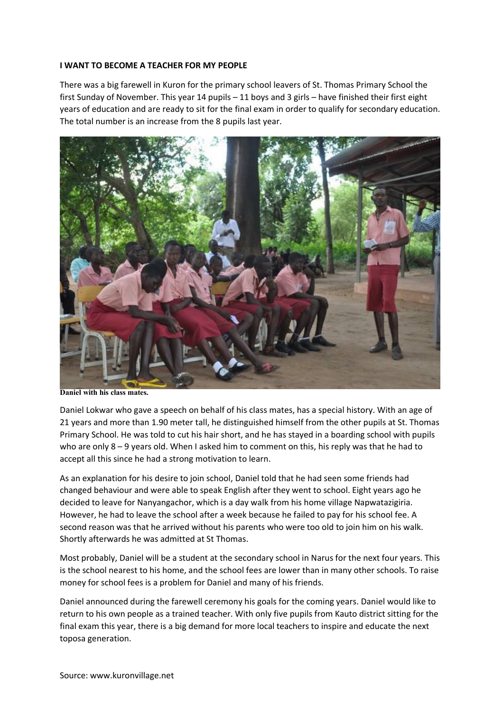## **I WANT TO BECOME A TEACHER FOR MY PEOPLE**

There was a big farewell in Kuron for the primary school leavers of St. Thomas Primary School the first Sunday of November. This year 14 pupils – 11 boys and 3 girls – have finished their first eight years of education and are ready to sit for the final exam in order to qualify for secondary education. The total number is an increase from the 8 pupils last year.



**Daniel with his class mates.**

Daniel Lokwar who gave a speech on behalf of his class mates, has a special history. With an age of 21 years and more than 1.90 meter tall, he distinguished himself from the other pupils at St. Thomas Primary School. He was told to cut his hair short, and he has stayed in a boarding school with pupils who are only 8 – 9 years old. When I asked him to comment on this, his reply was that he had to accept all this since he had a strong motivation to learn.

As an explanation for his desire to join school, Daniel told that he had seen some friends had changed behaviour and were able to speak English after they went to school. Eight years ago he decided to leave for Nanyangachor, which is a day walk from his home village Napwatazigiria. However, he had to leave the school after a week because he failed to pay for his school fee. A second reason was that he arrived without his parents who were too old to join him on his walk. Shortly afterwards he was admitted at St Thomas.

Most probably, Daniel will be a student at the secondary school in Narus for the next four years. This is the school nearest to his home, and the school fees are lower than in many other schools. To raise money for school fees is a problem for Daniel and many of his friends.

Daniel announced during the farewell ceremony his goals for the coming years. Daniel would like to return to his own people as a trained teacher. With only five pupils from Kauto district sitting for the final exam this year, there is a big demand for more local teachers to inspire and educate the next toposa generation.